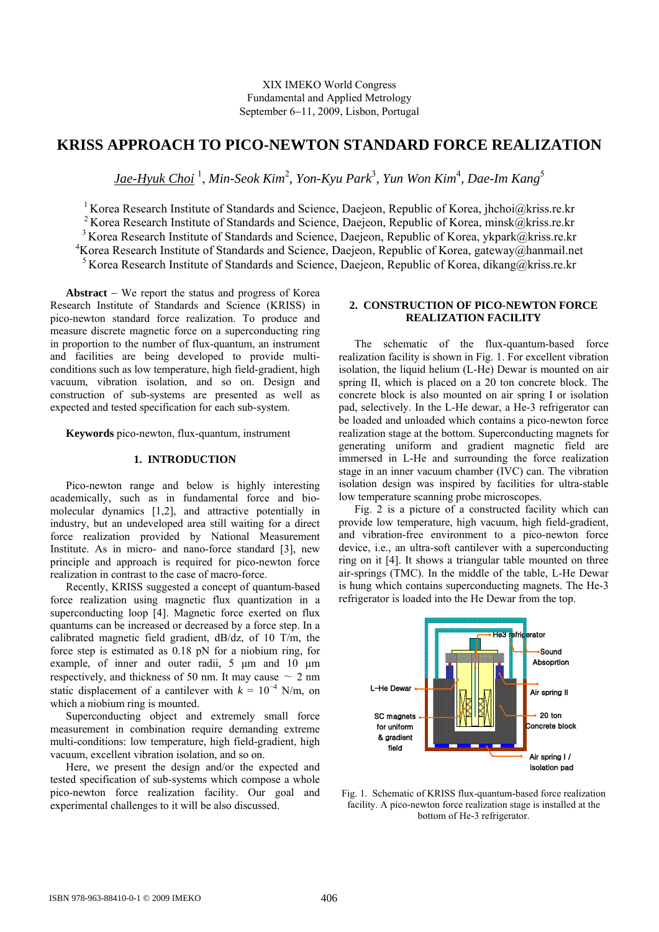# **KRISS APPROACH TO PICO-NEWTON STANDARD FORCE REALIZATION**

 $Jae-Hyuk Choi<sup>-1</sup>, Min-Seok Kim<sup>2</sup>, Yon-Kyu Park<sup>3</sup>, Yun Won Kim<sup>4</sup>, Dae-In Kang<sup>5</sup>$ 

<sup>1</sup> Korea Research Institute of Standards and Science, Daejeon, Republic of Korea, jhchoi@kriss.re.kr

<sup>2</sup> Korea Research Institute of Standards and Science, Daejeon, Republic of Korea, minsk@kriss.re.kr

<sup>3</sup> Korea Research Institute of Standards and Science, Daejeon, Republic of Korea, ykpark@kriss.re.kr

4 Korea Research Institute of Standards and Science, Daejeon, Republic of Korea, gateway@hanmail.net

<sup>5</sup> Korea Research Institute of Standards and Science, Daejeon, Republic of Korea, dikang@kriss.re.kr

**Abstract** − We report the status and progress of Korea Research Institute of Standards and Science (KRISS) in pico-newton standard force realization. To produce and measure discrete magnetic force on a superconducting ring in proportion to the number of flux-quantum, an instrument and facilities are being developed to provide multiconditions such as low temperature, high field-gradient, high vacuum, vibration isolation, and so on. Design and construction of sub-systems are presented as well as expected and tested specification for each sub-system.

**Keywords** pico-newton, flux-quantum, instrument

## **1. INTRODUCTION**

Pico-newton range and below is highly interesting academically, such as in fundamental force and biomolecular dynamics [1,2], and attractive potentially in industry, but an undeveloped area still waiting for a direct force realization provided by National Measurement Institute. As in micro- and nano-force standard [3], new principle and approach is required for pico-newton force realization in contrast to the case of macro-force.

Recently, KRISS suggested a concept of quantum-based force realization using magnetic flux quantization in a superconducting loop [4]. Magnetic force exerted on flux quantums can be increased or decreased by a force step. In a calibrated magnetic field gradient, dB/dz, of 10 T/m, the force step is estimated as 0.18 pN for a niobium ring, for example, of inner and outer radii, 5 μm and 10 μm respectively, and thickness of 50 nm. It may cause  $\sim 2$  nm static displacement of a cantilever with  $k = 10^{-4}$  N/m, on which a niobium ring is mounted.

Superconducting object and extremely small force measurement in combination require demanding extreme multi-conditions: low temperature, high field-gradient, high vacuum, excellent vibration isolation, and so on.

Here, we present the design and/or the expected and tested specification of sub-systems which compose a whole pico-newton force realization facility. Our goal and experimental challenges to it will be also discussed.

# **2. CONSTRUCTION OF PICO-NEWTON FORCE REALIZATION FACILITY**

The schematic of the flux-quantum-based force realization facility is shown in Fig. 1. For excellent vibration isolation, the liquid helium (L-He) Dewar is mounted on air spring II, which is placed on a 20 ton concrete block. The concrete block is also mounted on air spring I or isolation pad, selectively. In the L-He dewar, a He-3 refrigerator can be loaded and unloaded which contains a pico-newton force realization stage at the bottom. Superconducting magnets for generating uniform and gradient magnetic field are immersed in L-He and surrounding the force realization stage in an inner vacuum chamber (IVC) can. The vibration isolation design was inspired by facilities for ultra-stable low temperature scanning probe microscopes.

Fig. 2 is a picture of a constructed facility which can provide low temperature, high vacuum, high field-gradient, and vibration-free environment to a pico-newton force device, i.e., an ultra-soft cantilever with a superconducting ring on it [4]. It shows a triangular table mounted on three air-springs (TMC). In the middle of the table, L-He Dewar is hung which contains superconducting magnets. The He-3 refrigerator is loaded into the He Dewar from the top.



Fig. 1. Schematic of KRISS flux-quantum-based force realization facility. A pico-newton force realization stage is installed at the bottom of He-3 refrigerator.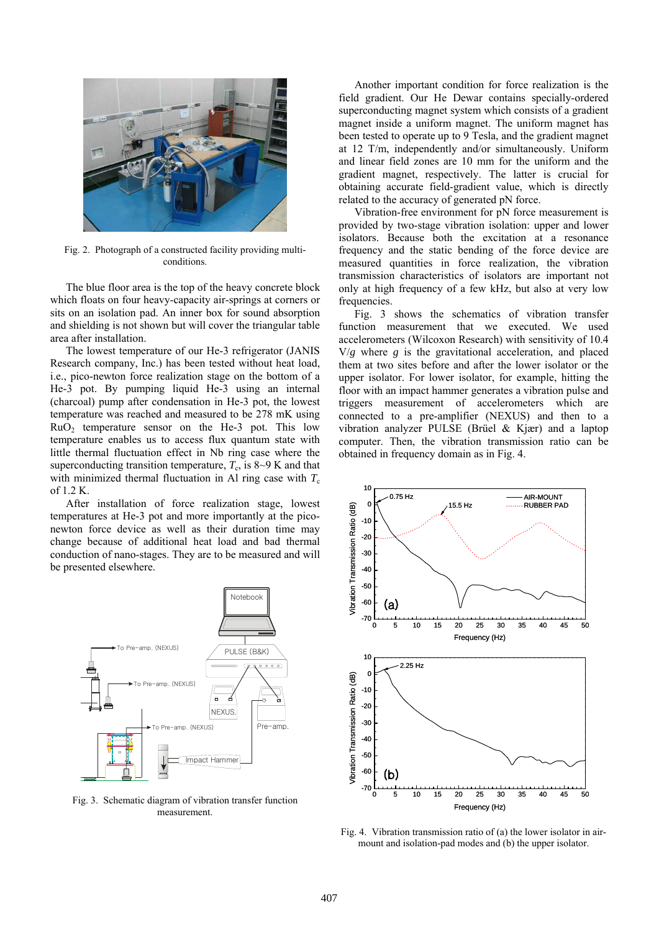

Fig. 2. Photograph of a constructed facility providing multiconditions.

The blue floor area is the top of the heavy concrete block which floats on four heavy-capacity air-springs at corners or sits on an isolation pad. An inner box for sound absorption and shielding is not shown but will cover the triangular table area after installation.

The lowest temperature of our He-3 refrigerator (JANIS Research company, Inc.) has been tested without heat load, i.e., pico-newton force realization stage on the bottom of a He-3 pot. By pumping liquid He-3 using an internal (charcoal) pump after condensation in He-3 pot, the lowest temperature was reached and measured to be 278 mK using  $RuO<sub>2</sub>$  temperature sensor on the He-3 pot. This low temperature enables us to access flux quantum state with little thermal fluctuation effect in Nb ring case where the superconducting transition temperature,  $T_c$ , is 8~9 K and that with minimized thermal fluctuation in Al ring case with  $T_c$ of 1.2 K.

After installation of force realization stage, lowest temperatures at He-3 pot and more importantly at the piconewton force device as well as their duration time may change because of additional heat load and bad thermal conduction of nano-stages. They are to be measured and will be presented elsewhere.



Fig. 3. Schematic diagram of vibration transfer function measurement.

Another important condition for force realization is the field gradient. Our He Dewar contains specially-ordered superconducting magnet system which consists of a gradient magnet inside a uniform magnet. The uniform magnet has been tested to operate up to 9 Tesla, and the gradient magnet at 12 T/m, independently and/or simultaneously. Uniform and linear field zones are 10 mm for the uniform and the gradient magnet, respectively. The latter is crucial for obtaining accurate field-gradient value, which is directly related to the accuracy of generated pN force.

Vibration-free environment for pN force measurement is provided by two-stage vibration isolation: upper and lower isolators. Because both the excitation at a resonance frequency and the static bending of the force device are measured quantities in force realization, the vibration transmission characteristics of isolators are important not only at high frequency of a few kHz, but also at very low frequencies.

Fig. 3 shows the schematics of vibration transfer function measurement that we executed. We used accelerometers (Wilcoxon Research) with sensitivity of 10.4 V/*g* where *g* is the gravitational acceleration, and placed them at two sites before and after the lower isolator or the upper isolator. For lower isolator, for example, hitting the floor with an impact hammer generates a vibration pulse and triggers measurement of accelerometers which are connected to a pre-amplifier (NEXUS) and then to a vibration analyzer PULSE (Brüel & Kjær) and a laptop computer. Then, the vibration transmission ratio can be obtained in frequency domain as in Fig. 4.



Fig. 4. Vibration transmission ratio of (a) the lower isolator in airmount and isolation-pad modes and (b) the upper isolator.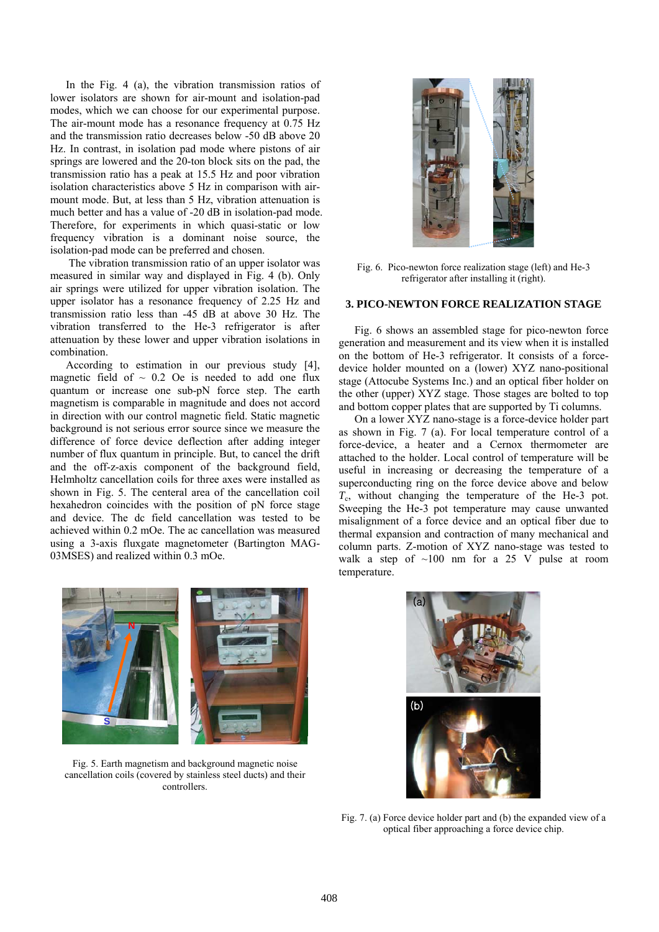In the Fig. 4 (a), the vibration transmission ratios of lower isolators are shown for air-mount and isolation-pad modes, which we can choose for our experimental purpose. The air-mount mode has a resonance frequency at 0.75 Hz and the transmission ratio decreases below -50 dB above 20 Hz. In contrast, in isolation pad mode where pistons of air springs are lowered and the 20-ton block sits on the pad, the transmission ratio has a peak at 15.5 Hz and poor vibration isolation characteristics above 5 Hz in comparison with airmount mode. But, at less than 5 Hz, vibration attenuation is much better and has a value of -20 dB in isolation-pad mode. Therefore, for experiments in which quasi-static or low frequency vibration is a dominant noise source, the isolation-pad mode can be preferred and chosen.

 The vibration transmission ratio of an upper isolator was measured in similar way and displayed in Fig. 4 (b). Only air springs were utilized for upper vibration isolation. The upper isolator has a resonance frequency of 2.25 Hz and transmission ratio less than -45 dB at above 30 Hz. The vibration transferred to the He-3 refrigerator is after attenuation by these lower and upper vibration isolations in combination.

According to estimation in our previous study [4], magnetic field of  $\sim$  0.2 Oe is needed to add one flux quantum or increase one sub-pN force step. The earth magnetism is comparable in magnitude and does not accord in direction with our control magnetic field. Static magnetic background is not serious error source since we measure the difference of force device deflection after adding integer number of flux quantum in principle. But, to cancel the drift and the off-z-axis component of the background field, Helmholtz cancellation coils for three axes were installed as shown in Fig. 5. The centeral area of the cancellation coil hexahedron coincides with the position of pN force stage and device. The dc field cancellation was tested to be achieved within 0.2 mOe. The ac cancellation was measured using a 3-axis fluxgate magnetometer (Bartington MAG-03MSES) and realized within 0.3 mOe.



Fig. 6. Pico-newton force realization stage (left) and He-3 refrigerator after installing it (right).

#### **3. PICO-NEWTON FORCE REALIZATION STAGE**

Fig. 6 shows an assembled stage for pico-newton force generation and measurement and its view when it is installed on the bottom of He-3 refrigerator. It consists of a forcedevice holder mounted on a (lower) XYZ nano-positional stage (Attocube Systems Inc.) and an optical fiber holder on the other (upper) XYZ stage. Those stages are bolted to top and bottom copper plates that are supported by Ti columns.

On a lower XYZ nano-stage is a force-device holder part as shown in Fig. 7 (a). For local temperature control of a force-device, a heater and a Cernox thermometer are attached to the holder. Local control of temperature will be useful in increasing or decreasing the temperature of a superconducting ring on the force device above and below *T*c, without changing the temperature of the He-3 pot. Sweeping the He-3 pot temperature may cause unwanted misalignment of a force device and an optical fiber due to thermal expansion and contraction of many mechanical and column parts. Z-motion of XYZ nano-stage was tested to walk a step of  $\sim 100$  nm for a 25 V pulse at room temperature.



Fig. 5. Earth magnetism and background magnetic noise cancellation coils (covered by stainless steel ducts) and their controllers.



Fig. 7. (a) Force device holder part and (b) the expanded view of a optical fiber approaching a force device chip.